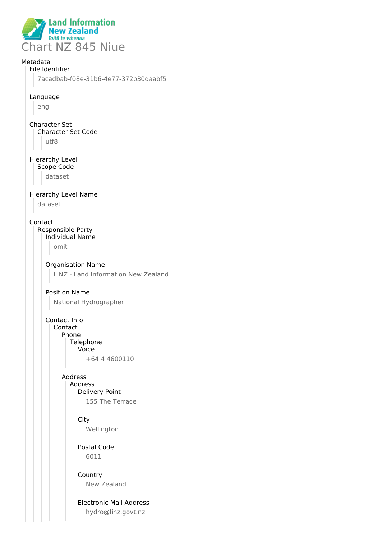

### Metadata

# File Identifier

7acadbab-f08e-31b6-4e77-372b30daabf5

### Language

eng

### Character Set Character Set Code utf8

#### Hierarchy Level Scope Code

dataset

### Hierarchy Level Name

dataset

### Contact

#### Responsible Party Individual Name

omit

Organisation Name LINZ - Land Information New Zealand

### Position Name

National Hydrographer

Contact Info Contact Phone

> Telephone Voice

> > +64 4 4600110

# Address Address

Delivery Point 155 The Terrace

# **City** Wellington

Postal Code

6011

# Country New Zealand

# Electronic Mail Address

hydro@linz.govt.nz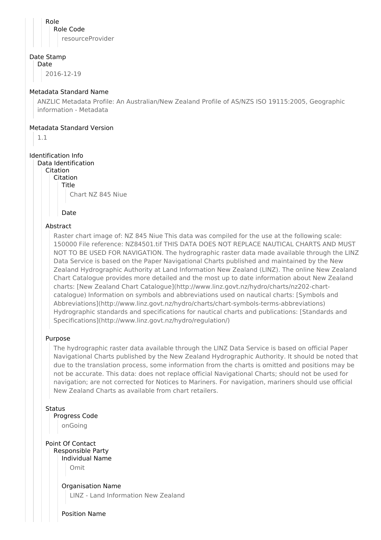Role Role Code resourceProvider

### Date Stamp

Date

2016-12-19

### Metadata Standard Name

ANZLIC Metadata Profile: An Australian/New Zealand Profile of AS/NZS ISO 19115:2005, Geographic information - Metadata

### Metadata Standard Version

1.1

# Identification Info

Data Identification Citation

Citation

Title Chart NZ 845 Niue

Date

### Abstract

Raster chart image of: NZ 845 Niue This data was compiled for the use at the following scale: 150000 File reference: NZ84501.tif THIS DATA DOES NOT REPLACE NAUTICAL CHARTS AND MUST NOT TO BE USED FOR NAVIGATION. The hydrographic raster data made available through the LINZ Data Service is based on the Paper Navigational Charts published and maintained by the New Zealand Hydrographic Authority at Land Information New Zealand (LINZ). The online New Zealand Chart Catalogue provides more detailed and the most up to date information about New Zealand charts: [New Zealand Chart Catalogue](http://www.linz.govt.nz/hydro/charts/nz202-chartcatalogue) Information on symbols and abbreviations used on nautical charts: [Symbols and Abbreviations](http://www.linz.govt.nz/hydro/charts/chart-symbols-terms-abbreviations) Hydrographic standards and specifications for nautical charts and publications: [Standards and Specifications](http://www.linz.govt.nz/hydro/regulation/)

### Purpose

The hydrographic raster data available through the LINZ Data Service is based on official Paper Navigational Charts published by the New Zealand Hydrographic Authority. It should be noted that due to the translation process, some information from the charts is omitted and positions may be not be accurate. This data: does not replace official Navigational Charts; should not be used for navigation; are not corrected for Notices to Mariners. For navigation, mariners should use official New Zealand Charts as available from chart retailers.

**Status** 

### Progress Code

onGoing

Point Of Contact Responsible Party Individual Name Omit

> Organisation Name LINZ - Land Information New Zealand

Position Name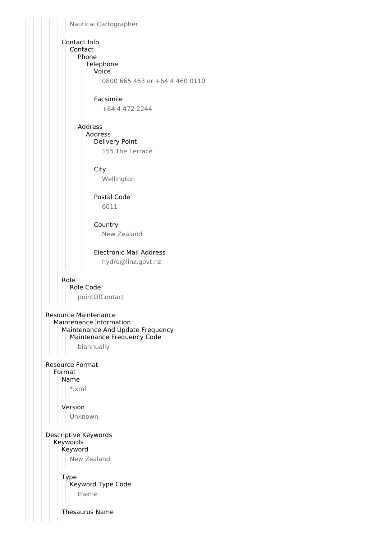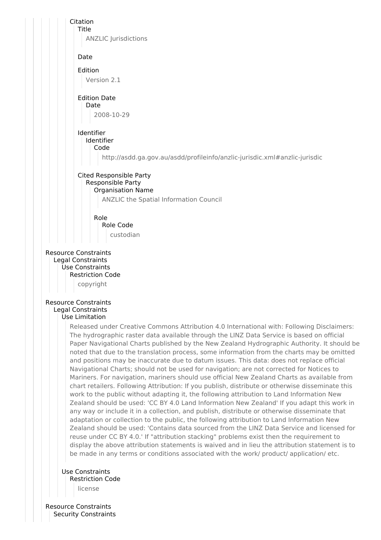

The hydrographic raster data available through the LINZ Data Service is based on official Paper Navigational Charts published by the New Zealand Hydrographic Authority. It should be noted that due to the translation process, some information from the charts may be omitted and positions may be inaccurate due to datum issues. This data: does not replace official Navigational Charts; should not be used for navigation; are not corrected for Notices to Mariners. For navigation, mariners should use official New Zealand Charts as available from chart retailers. Following Attribution: If you publish, distribute or otherwise disseminate this work to the public without adapting it, the following attribution to Land Information New Zealand should be used: 'CC BY 4.0 Land Information New Zealand' If you adapt this work in any way or include it in a collection, and publish, distribute or otherwise disseminate that adaptation or collection to the public, the following attribution to Land Information New Zealand should be used: 'Contains data sourced from the LINZ Data Service and licensed for reuse under CC BY 4.0.' If "attribution stacking" problems exist then the requirement to display the above attribution statements is waived and in lieu the attribution statement is to be made in any terms or conditions associated with the work/ product/ application/ etc.

Use Constraints Restriction Code license

Resource Constraints Security Constraints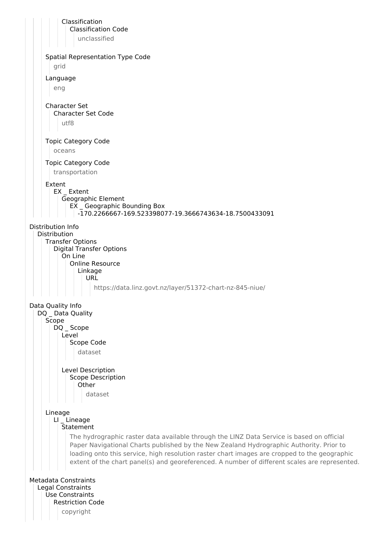Classification Classification Code unclassified Spatial Representation Type Code grid Language eng Character Set Character Set Code utf8 Topic Category Code oceans Topic Category Code transportation Extent EX \_ Extent Geographic Element EX \_ Geographic Bounding Box -170.2266667-169.523398077-19.3666743634-18.7500433091 Distribution Info Distribution Transfer Options Digital Transfer Options On Line Online Resource Linkage **URL** https://data.linz.govt.nz/layer/51372-chart-nz-845-niue/ Data Quality Info DQ \_ Data Quality **Scope** DQ Scope Level Scope Code dataset Level Description Scope Description **Other** dataset Lineage LI \_ Lineage **Statement** The hydrographic raster data available through the LINZ Data Service is based on official Paper Navigational Charts published by the New Zealand Hydrographic Authority. Prior to loading onto this service, high resolution raster chart images are cropped to the geographic extent of the chart panel(s) and georeferenced. A number of different scales are represented. Metadata Constraints Legal Constraints Use Constraints Restriction Code copyright